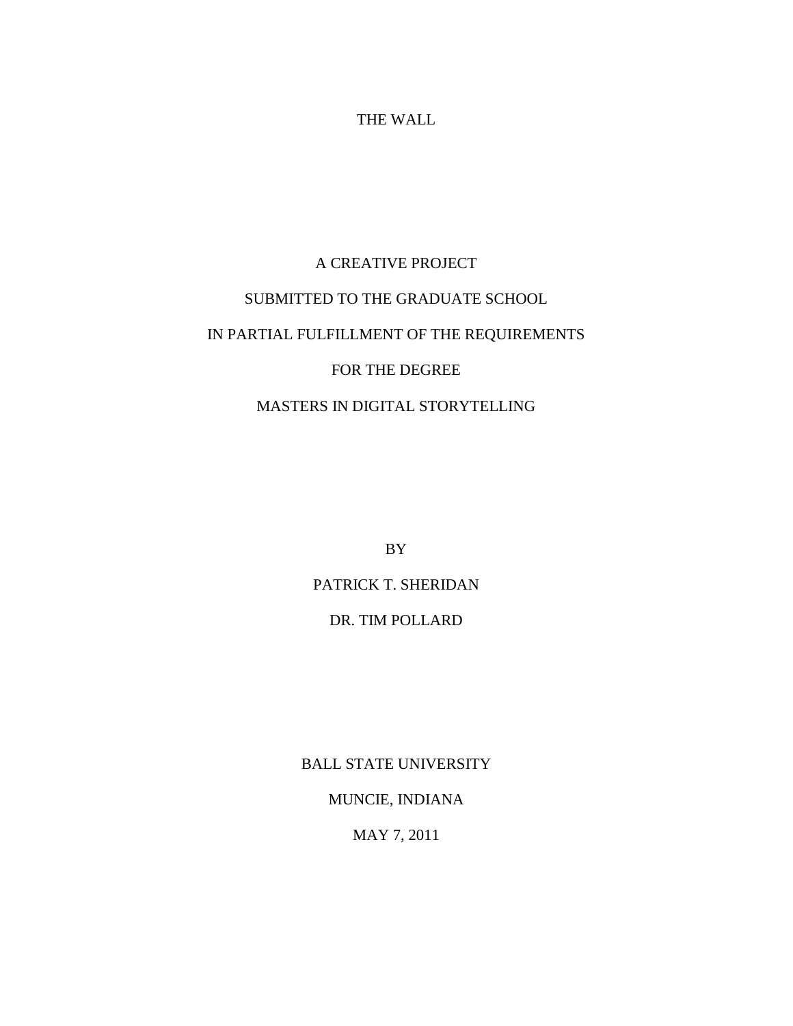### THE WALL

# A CREATIVE PROJECT SUBMITTED TO THE GRADUATE SCHOOL IN PARTIAL FULFILLMENT OF THE REQUIREMENTS FOR THE DEGREE

## MASTERS IN DIGITAL STORYTELLING

BY

PATRICK T. SHERIDAN

## DR. TIM POLLARD

BALL STATE UNIVERSITY

MUNCIE, INDIANA

MAY 7, 2011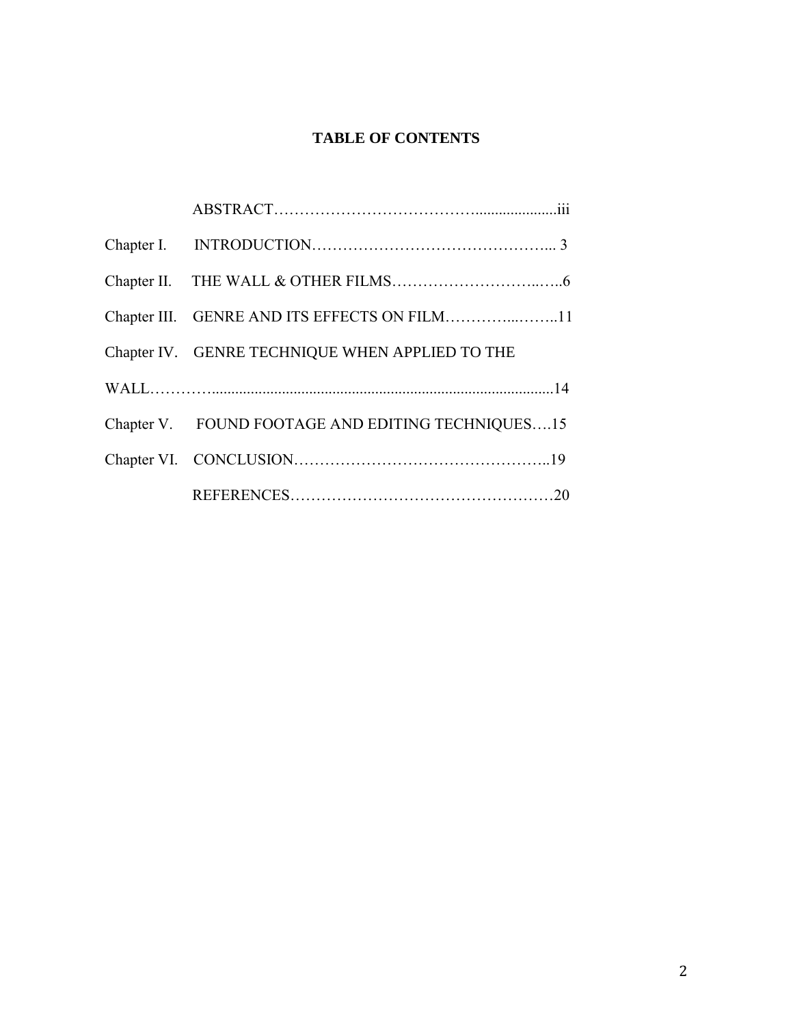## **TABLE OF CONTENTS**

| Chapter IV. GENRE TECHNIQUE WHEN APPLIED TO THE   |  |
|---------------------------------------------------|--|
|                                                   |  |
| Chapter V. FOUND FOOTAGE AND EDITING TECHNIQUES15 |  |
|                                                   |  |
|                                                   |  |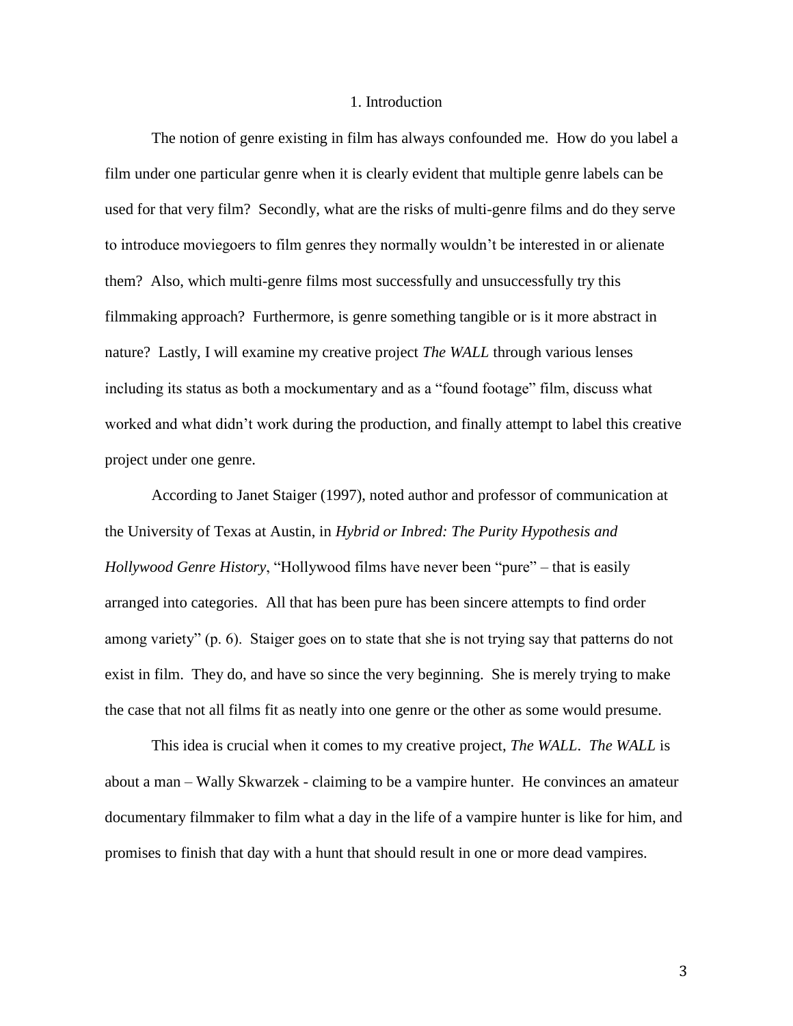#### 1. Introduction

The notion of genre existing in film has always confounded me. How do you label a film under one particular genre when it is clearly evident that multiple genre labels can be used for that very film? Secondly, what are the risks of multi-genre films and do they serve to introduce moviegoers to film genres they normally wouldn"t be interested in or alienate them? Also, which multi-genre films most successfully and unsuccessfully try this filmmaking approach? Furthermore, is genre something tangible or is it more abstract in nature? Lastly, I will examine my creative project *The WALL* through various lenses including its status as both a mockumentary and as a "found footage" film, discuss what worked and what didn"t work during the production, and finally attempt to label this creative project under one genre.

According to Janet Staiger (1997), noted author and professor of communication at the University of Texas at Austin, in *Hybrid or Inbred: The Purity Hypothesis and Hollywood Genre History*, "Hollywood films have never been "pure" – that is easily arranged into categories. All that has been pure has been sincere attempts to find order among variety" (p. 6). Staiger goes on to state that she is not trying say that patterns do not exist in film. They do, and have so since the very beginning. She is merely trying to make the case that not all films fit as neatly into one genre or the other as some would presume.

This idea is crucial when it comes to my creative project, *The WALL*. *The WALL* is about a man – Wally Skwarzek - claiming to be a vampire hunter. He convinces an amateur documentary filmmaker to film what a day in the life of a vampire hunter is like for him, and promises to finish that day with a hunt that should result in one or more dead vampires.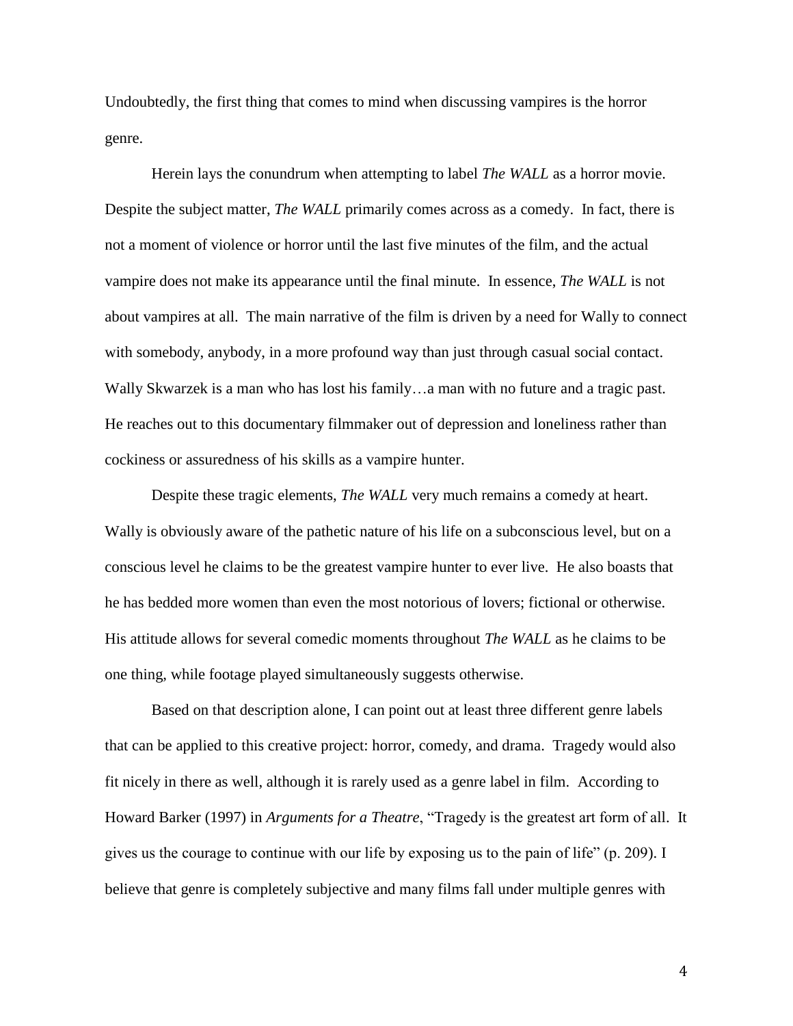Undoubtedly, the first thing that comes to mind when discussing vampires is the horror genre.

Herein lays the conundrum when attempting to label *The WALL* as a horror movie. Despite the subject matter, *The WALL* primarily comes across as a comedy. In fact, there is not a moment of violence or horror until the last five minutes of the film, and the actual vampire does not make its appearance until the final minute. In essence, *The WALL* is not about vampires at all. The main narrative of the film is driven by a need for Wally to connect with somebody, anybody, in a more profound way than just through casual social contact. Wally Skwarzek is a man who has lost his family...a man with no future and a tragic past. He reaches out to this documentary filmmaker out of depression and loneliness rather than cockiness or assuredness of his skills as a vampire hunter.

Despite these tragic elements, *The WALL* very much remains a comedy at heart. Wally is obviously aware of the pathetic nature of his life on a subconscious level, but on a conscious level he claims to be the greatest vampire hunter to ever live. He also boasts that he has bedded more women than even the most notorious of lovers; fictional or otherwise. His attitude allows for several comedic moments throughout *The WALL* as he claims to be one thing, while footage played simultaneously suggests otherwise.

Based on that description alone, I can point out at least three different genre labels that can be applied to this creative project: horror, comedy, and drama. Tragedy would also fit nicely in there as well, although it is rarely used as a genre label in film. According to Howard Barker (1997) in *Arguments for a Theatre*, "Tragedy is the greatest art form of all. It gives us the courage to continue with our life by exposing us to the pain of life" (p. 209). I believe that genre is completely subjective and many films fall under multiple genres with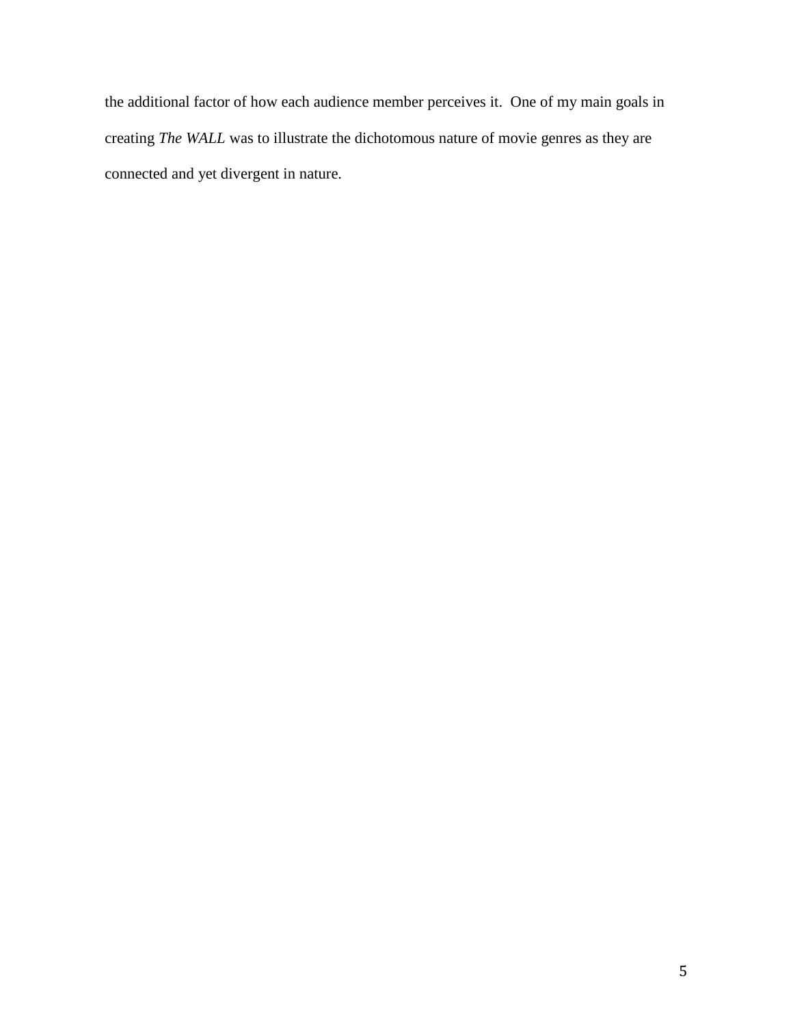the additional factor of how each audience member perceives it. One of my main goals in creating *The WALL* was to illustrate the dichotomous nature of movie genres as they are connected and yet divergent in nature.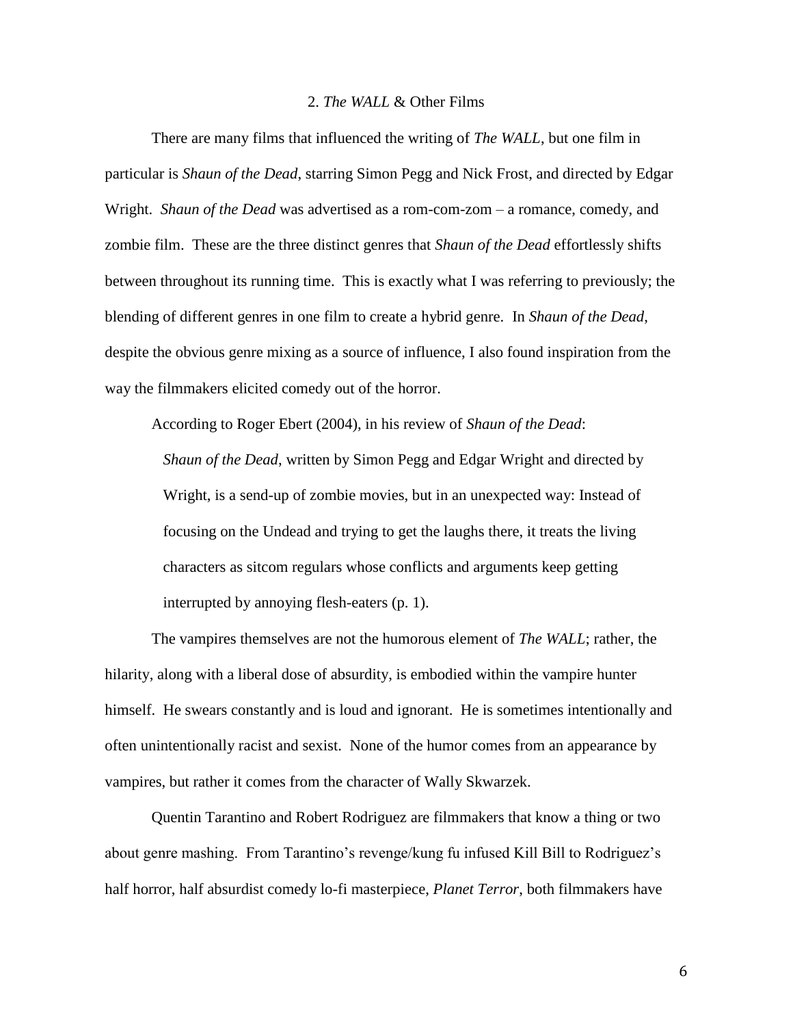#### 2. *The WALL* & Other Films

There are many films that influenced the writing of *The WALL*, but one film in particular is *Shaun of the Dead*, starring Simon Pegg and Nick Frost, and directed by Edgar Wright. *Shaun of the Dead* was advertised as a rom-com-zom – a romance, comedy, and zombie film. These are the three distinct genres that *Shaun of the Dead* effortlessly shifts between throughout its running time. This is exactly what I was referring to previously; the blending of different genres in one film to create a hybrid genre. In *Shaun of the Dead*, despite the obvious genre mixing as a source of influence, I also found inspiration from the way the filmmakers elicited comedy out of the horror.

According to Roger Ebert (2004), in his review of *Shaun of the Dead*: *Shaun of the Dead*, written by Simon Pegg and Edgar Wright and directed by Wright, is a send-up of zombie movies, but in an unexpected way: Instead of focusing on the Undead and trying to get the laughs there, it treats the living characters as sitcom regulars whose conflicts and arguments keep getting interrupted by annoying flesh-eaters (p. 1).

The vampires themselves are not the humorous element of *The WALL*; rather, the hilarity, along with a liberal dose of absurdity, is embodied within the vampire hunter himself. He swears constantly and is loud and ignorant. He is sometimes intentionally and often unintentionally racist and sexist. None of the humor comes from an appearance by vampires, but rather it comes from the character of Wally Skwarzek.

Quentin Tarantino and Robert Rodriguez are filmmakers that know a thing or two about genre mashing. From Tarantino"s revenge/kung fu infused Kill Bill to Rodriguez"s half horror, half absurdist comedy lo-fi masterpiece, *Planet Terror*, both filmmakers have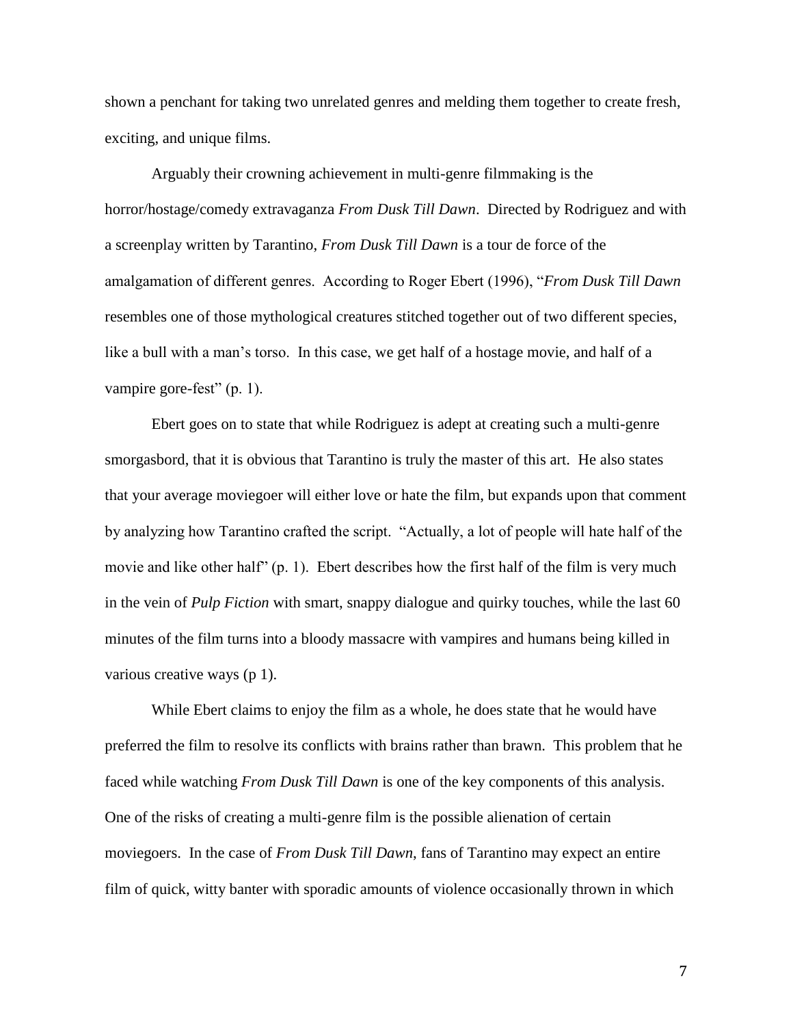shown a penchant for taking two unrelated genres and melding them together to create fresh, exciting, and unique films.

Arguably their crowning achievement in multi-genre filmmaking is the horror/hostage/comedy extravaganza *From Dusk Till Dawn*. Directed by Rodriguez and with a screenplay written by Tarantino, *From Dusk Till Dawn* is a tour de force of the amalgamation of different genres. According to Roger Ebert (1996), "*From Dusk Till Dawn* resembles one of those mythological creatures stitched together out of two different species, like a bull with a man's torso. In this case, we get half of a hostage movie, and half of a vampire gore-fest" (p. 1).

Ebert goes on to state that while Rodriguez is adept at creating such a multi-genre smorgasbord, that it is obvious that Tarantino is truly the master of this art. He also states that your average moviegoer will either love or hate the film, but expands upon that comment by analyzing how Tarantino crafted the script. "Actually, a lot of people will hate half of the movie and like other half" (p. 1). Ebert describes how the first half of the film is very much in the vein of *Pulp Fiction* with smart, snappy dialogue and quirky touches, while the last 60 minutes of the film turns into a bloody massacre with vampires and humans being killed in various creative ways (p 1).

While Ebert claims to enjoy the film as a whole, he does state that he would have preferred the film to resolve its conflicts with brains rather than brawn. This problem that he faced while watching *From Dusk Till Dawn* is one of the key components of this analysis. One of the risks of creating a multi-genre film is the possible alienation of certain moviegoers. In the case of *From Dusk Till Dawn*, fans of Tarantino may expect an entire film of quick, witty banter with sporadic amounts of violence occasionally thrown in which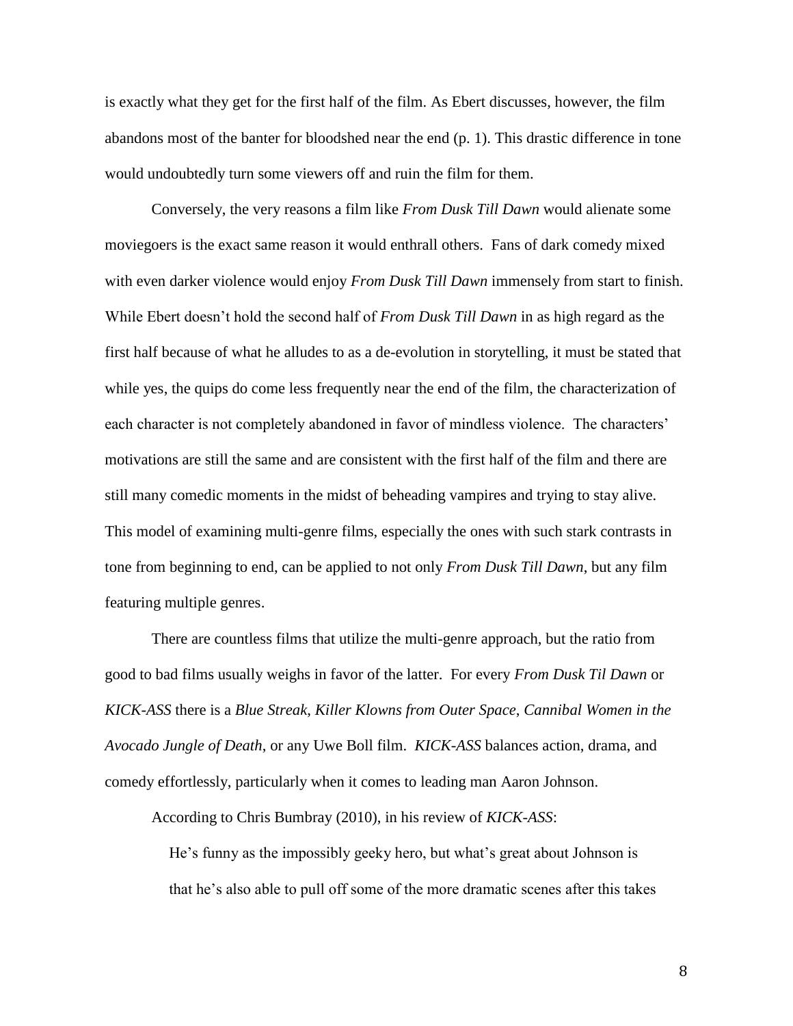is exactly what they get for the first half of the film. As Ebert discusses, however, the film abandons most of the banter for bloodshed near the end (p. 1). This drastic difference in tone would undoubtedly turn some viewers off and ruin the film for them.

Conversely, the very reasons a film like *From Dusk Till Dawn* would alienate some moviegoers is the exact same reason it would enthrall others. Fans of dark comedy mixed with even darker violence would enjoy *From Dusk Till Dawn* immensely from start to finish. While Ebert doesn"t hold the second half of *From Dusk Till Dawn* in as high regard as the first half because of what he alludes to as a de-evolution in storytelling, it must be stated that while yes, the quips do come less frequently near the end of the film, the characterization of each character is not completely abandoned in favor of mindless violence. The characters' motivations are still the same and are consistent with the first half of the film and there are still many comedic moments in the midst of beheading vampires and trying to stay alive. This model of examining multi-genre films, especially the ones with such stark contrasts in tone from beginning to end, can be applied to not only *From Dusk Till Dawn*, but any film featuring multiple genres.

There are countless films that utilize the multi-genre approach, but the ratio from good to bad films usually weighs in favor of the latter. For every *From Dusk Til Dawn* or *KICK-ASS* there is a *Blue Streak*, *Killer Klowns from Outer Space*, *Cannibal Women in the Avocado Jungle of Death*, or any Uwe Boll film. *KICK-ASS* balances action, drama, and comedy effortlessly, particularly when it comes to leading man Aaron Johnson.

According to Chris Bumbray (2010), in his review of *KICK-ASS*:

He"s funny as the impossibly geeky hero, but what"s great about Johnson is that he"s also able to pull off some of the more dramatic scenes after this takes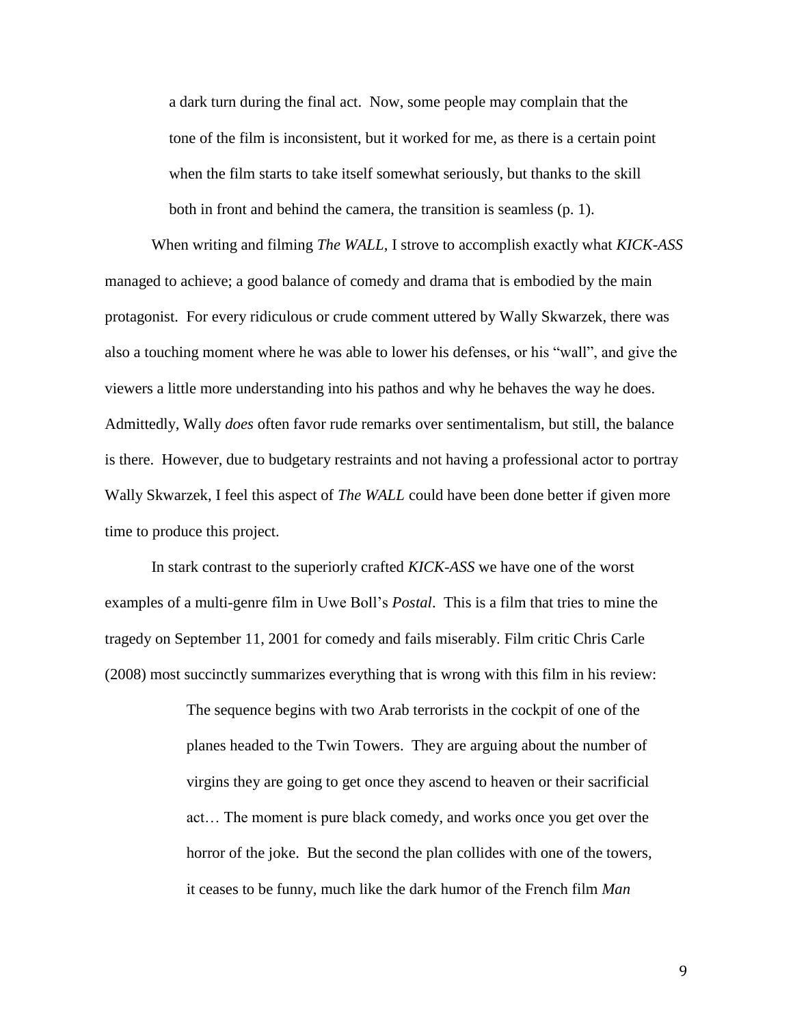a dark turn during the final act. Now, some people may complain that the tone of the film is inconsistent, but it worked for me, as there is a certain point when the film starts to take itself somewhat seriously, but thanks to the skill both in front and behind the camera, the transition is seamless (p. 1).

When writing and filming *The WALL*, I strove to accomplish exactly what *KICK-ASS* managed to achieve; a good balance of comedy and drama that is embodied by the main protagonist. For every ridiculous or crude comment uttered by Wally Skwarzek, there was also a touching moment where he was able to lower his defenses, or his "wall", and give the viewers a little more understanding into his pathos and why he behaves the way he does. Admittedly, Wally *does* often favor rude remarks over sentimentalism, but still, the balance is there. However, due to budgetary restraints and not having a professional actor to portray Wally Skwarzek, I feel this aspect of *The WALL* could have been done better if given more time to produce this project.

In stark contrast to the superiorly crafted *KICK-ASS* we have one of the worst examples of a multi-genre film in Uwe Boll"s *Postal*. This is a film that tries to mine the tragedy on September 11, 2001 for comedy and fails miserably. Film critic Chris Carle (2008) most succinctly summarizes everything that is wrong with this film in his review:

> The sequence begins with two Arab terrorists in the cockpit of one of the planes headed to the Twin Towers. They are arguing about the number of virgins they are going to get once they ascend to heaven or their sacrificial act… The moment is pure black comedy, and works once you get over the horror of the joke. But the second the plan collides with one of the towers, it ceases to be funny, much like the dark humor of the French film *Man*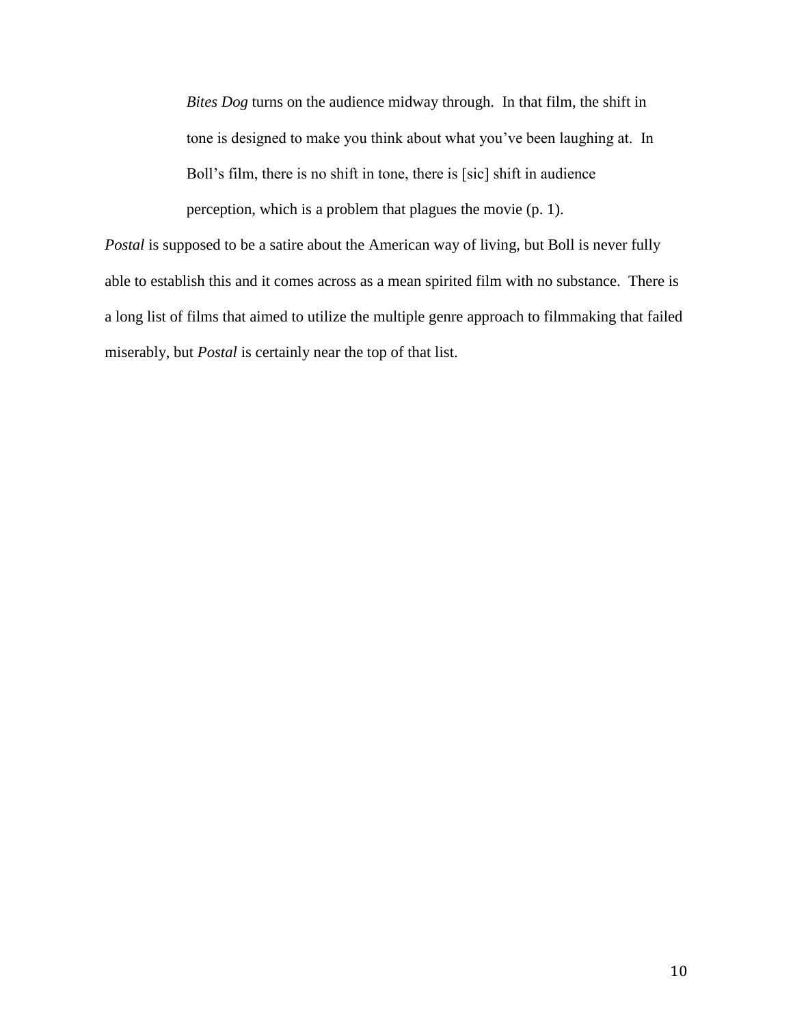*Bites Dog* turns on the audience midway through. In that film, the shift in tone is designed to make you think about what you"ve been laughing at. In Boll"s film, there is no shift in tone, there is [sic] shift in audience perception, which is a problem that plagues the movie (p. 1).

*Postal* is supposed to be a satire about the American way of living, but Boll is never fully able to establish this and it comes across as a mean spirited film with no substance. There is a long list of films that aimed to utilize the multiple genre approach to filmmaking that failed miserably, but *Postal* is certainly near the top of that list.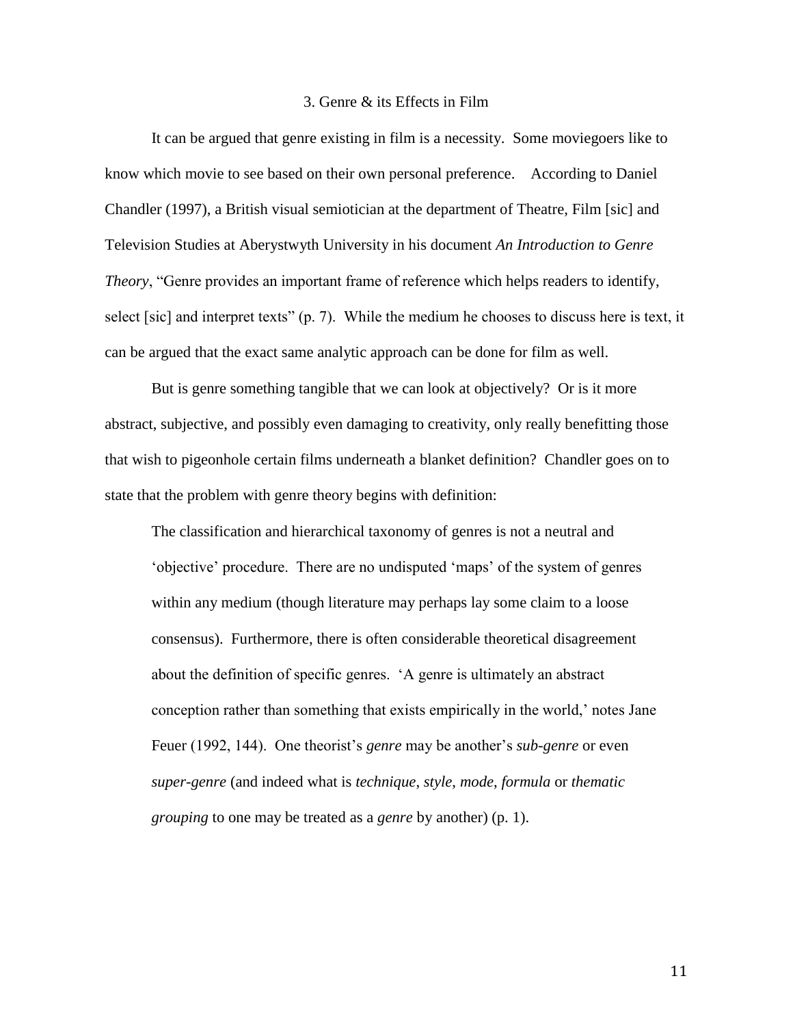#### 3. Genre & its Effects in Film

It can be argued that genre existing in film is a necessity. Some moviegoers like to know which movie to see based on their own personal preference. According to Daniel Chandler (1997), a British visual semiotician at the department of Theatre, Film [sic] and Television Studies at Aberystwyth University in his document *An Introduction to Genre Theory*, "Genre provides an important frame of reference which helps readers to identify, select [sic] and interpret texts" (p. 7). While the medium he chooses to discuss here is text, it can be argued that the exact same analytic approach can be done for film as well.

But is genre something tangible that we can look at objectively? Or is it more abstract, subjective, and possibly even damaging to creativity, only really benefitting those that wish to pigeonhole certain films underneath a blanket definition? Chandler goes on to state that the problem with genre theory begins with definition:

The classification and hierarchical taxonomy of genres is not a neutral and "objective" procedure. There are no undisputed "maps" of the system of genres within any medium (though literature may perhaps lay some claim to a loose consensus). Furthermore, there is often considerable theoretical disagreement about the definition of specific genres. "A genre is ultimately an abstract conception rather than something that exists empirically in the world,' notes Jane Feuer (1992, 144). One theorist's *genre* may be another's *sub-genre* or even *super-genre* (and indeed what is *technique*, *style*, *mode*, *formula* or *thematic grouping* to one may be treated as a *genre* by another) (p. 1).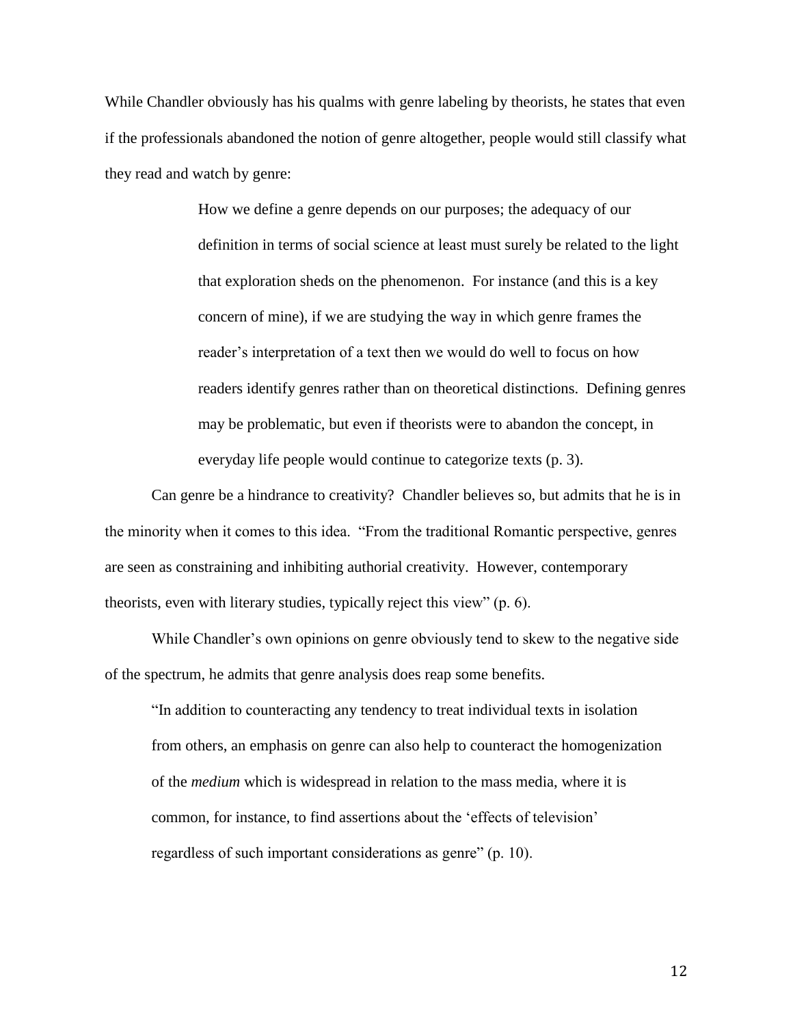While Chandler obviously has his qualms with genre labeling by theorists, he states that even if the professionals abandoned the notion of genre altogether, people would still classify what they read and watch by genre:

> How we define a genre depends on our purposes; the adequacy of our definition in terms of social science at least must surely be related to the light that exploration sheds on the phenomenon. For instance (and this is a key concern of mine), if we are studying the way in which genre frames the reader"s interpretation of a text then we would do well to focus on how readers identify genres rather than on theoretical distinctions. Defining genres may be problematic, but even if theorists were to abandon the concept, in everyday life people would continue to categorize texts (p. 3).

Can genre be a hindrance to creativity? Chandler believes so, but admits that he is in the minority when it comes to this idea. "From the traditional Romantic perspective, genres are seen as constraining and inhibiting authorial creativity. However, contemporary theorists, even with literary studies, typically reject this view" (p. 6).

While Chandler's own opinions on genre obviously tend to skew to the negative side of the spectrum, he admits that genre analysis does reap some benefits.

"In addition to counteracting any tendency to treat individual texts in isolation from others, an emphasis on genre can also help to counteract the homogenization of the *medium* which is widespread in relation to the mass media, where it is common, for instance, to find assertions about the "effects of television" regardless of such important considerations as genre" (p. 10).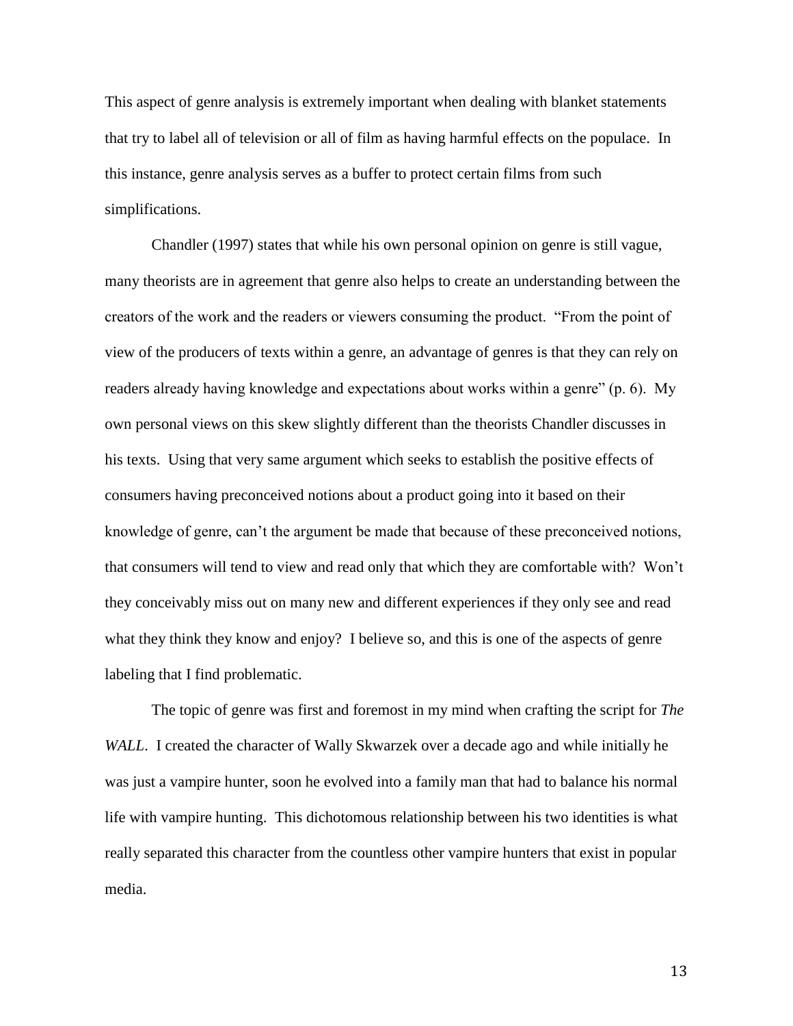This aspect of genre analysis is extremely important when dealing with blanket statements that try to label all of television or all of film as having harmful effects on the populace. In this instance, genre analysis serves as a buffer to protect certain films from such simplifications.

Chandler (1997) states that while his own personal opinion on genre is still vague, many theorists are in agreement that genre also helps to create an understanding between the creators of the work and the readers or viewers consuming the product. "From the point of view of the producers of texts within a genre, an advantage of genres is that they can rely on readers already having knowledge and expectations about works within a genre" (p. 6). My own personal views on this skew slightly different than the theorists Chandler discusses in his texts. Using that very same argument which seeks to establish the positive effects of consumers having preconceived notions about a product going into it based on their knowledge of genre, can't the argument be made that because of these preconceived notions, that consumers will tend to view and read only that which they are comfortable with? Won"t they conceivably miss out on many new and different experiences if they only see and read what they think they know and enjoy? I believe so, and this is one of the aspects of genre labeling that I find problematic.

The topic of genre was first and foremost in my mind when crafting the script for *The WALL*. I created the character of Wally Skwarzek over a decade ago and while initially he was just a vampire hunter, soon he evolved into a family man that had to balance his normal life with vampire hunting. This dichotomous relationship between his two identities is what really separated this character from the countless other vampire hunters that exist in popular media.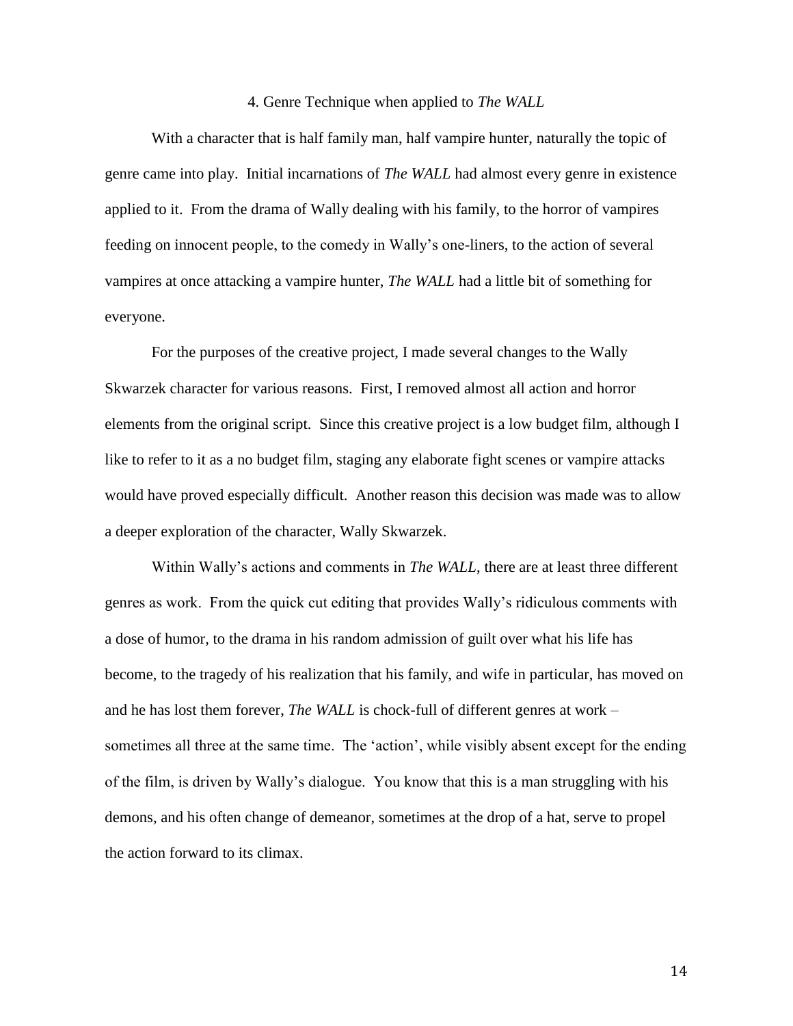#### 4. Genre Technique when applied to *The WALL*

With a character that is half family man, half vampire hunter, naturally the topic of genre came into play. Initial incarnations of *The WALL* had almost every genre in existence applied to it. From the drama of Wally dealing with his family, to the horror of vampires feeding on innocent people, to the comedy in Wally"s one-liners, to the action of several vampires at once attacking a vampire hunter, *The WALL* had a little bit of something for everyone.

For the purposes of the creative project, I made several changes to the Wally Skwarzek character for various reasons. First, I removed almost all action and horror elements from the original script. Since this creative project is a low budget film, although I like to refer to it as a no budget film, staging any elaborate fight scenes or vampire attacks would have proved especially difficult. Another reason this decision was made was to allow a deeper exploration of the character, Wally Skwarzek.

Within Wally's actions and comments in *The WALL*, there are at least three different genres as work. From the quick cut editing that provides Wally"s ridiculous comments with a dose of humor, to the drama in his random admission of guilt over what his life has become, to the tragedy of his realization that his family, and wife in particular, has moved on and he has lost them forever, *The WALL* is chock-full of different genres at work – sometimes all three at the same time. The 'action', while visibly absent except for the ending of the film, is driven by Wally"s dialogue. You know that this is a man struggling with his demons, and his often change of demeanor, sometimes at the drop of a hat, serve to propel the action forward to its climax.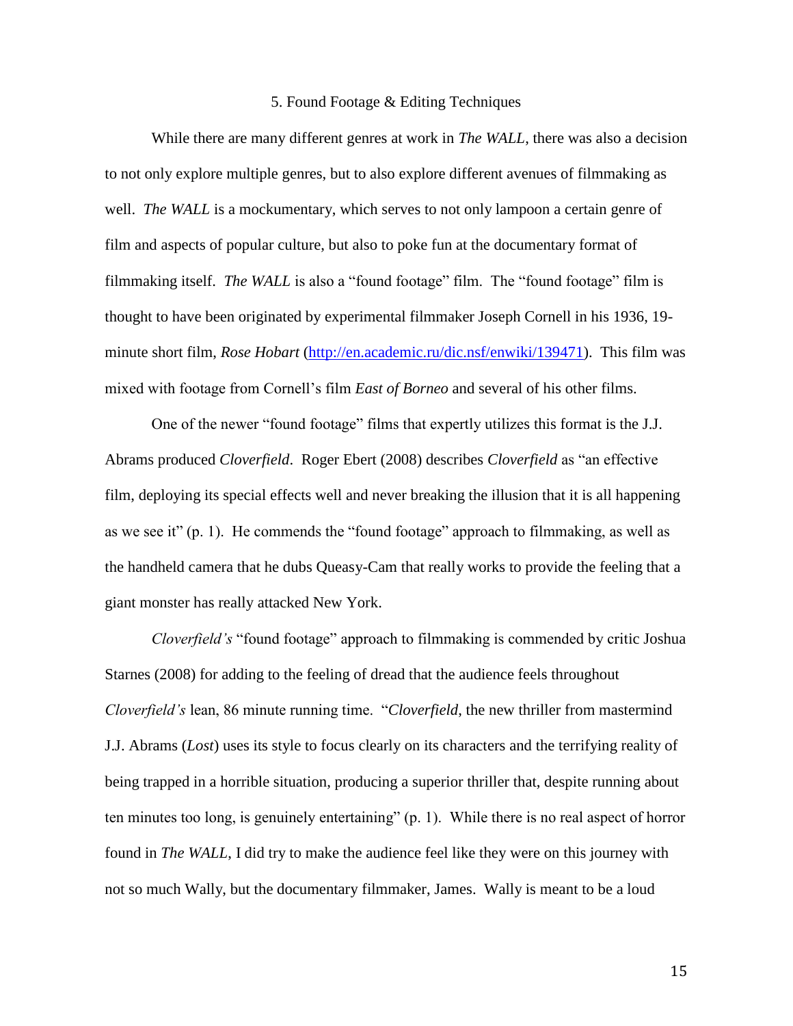#### 5. Found Footage & Editing Techniques

While there are many different genres at work in *The WALL*, there was also a decision to not only explore multiple genres, but to also explore different avenues of filmmaking as well. *The WALL* is a mockumentary, which serves to not only lampoon a certain genre of film and aspects of popular culture, but also to poke fun at the documentary format of filmmaking itself. *The WALL* is also a "found footage" film. The "found footage" film is thought to have been originated by experimental filmmaker Joseph Cornell in his 1936, 19 minute short film, *Rose Hobart* [\(http://en.academic.ru/dic.nsf/enwiki/139471\)](http://en.academic.ru/dic.nsf/enwiki/139471). This film was mixed with footage from Cornell"s film *East of Borneo* and several of his other films.

One of the newer "found footage" films that expertly utilizes this format is the J.J. Abrams produced *Cloverfield*. Roger Ebert (2008) describes *Cloverfield* as "an effective film, deploying its special effects well and never breaking the illusion that it is all happening as we see it" (p. 1). He commends the "found footage" approach to filmmaking, as well as the handheld camera that he dubs Queasy-Cam that really works to provide the feeling that a giant monster has really attacked New York.

*Cloverfield's* "found footage" approach to filmmaking is commended by critic Joshua Starnes (2008) for adding to the feeling of dread that the audience feels throughout *Cloverfield's* lean, 86 minute running time. "*Cloverfield*, the new thriller from mastermind J.J. Abrams (*Lost*) uses its style to focus clearly on its characters and the terrifying reality of being trapped in a horrible situation, producing a superior thriller that, despite running about ten minutes too long, is genuinely entertaining" (p. 1). While there is no real aspect of horror found in *The WALL*, I did try to make the audience feel like they were on this journey with not so much Wally, but the documentary filmmaker, James. Wally is meant to be a loud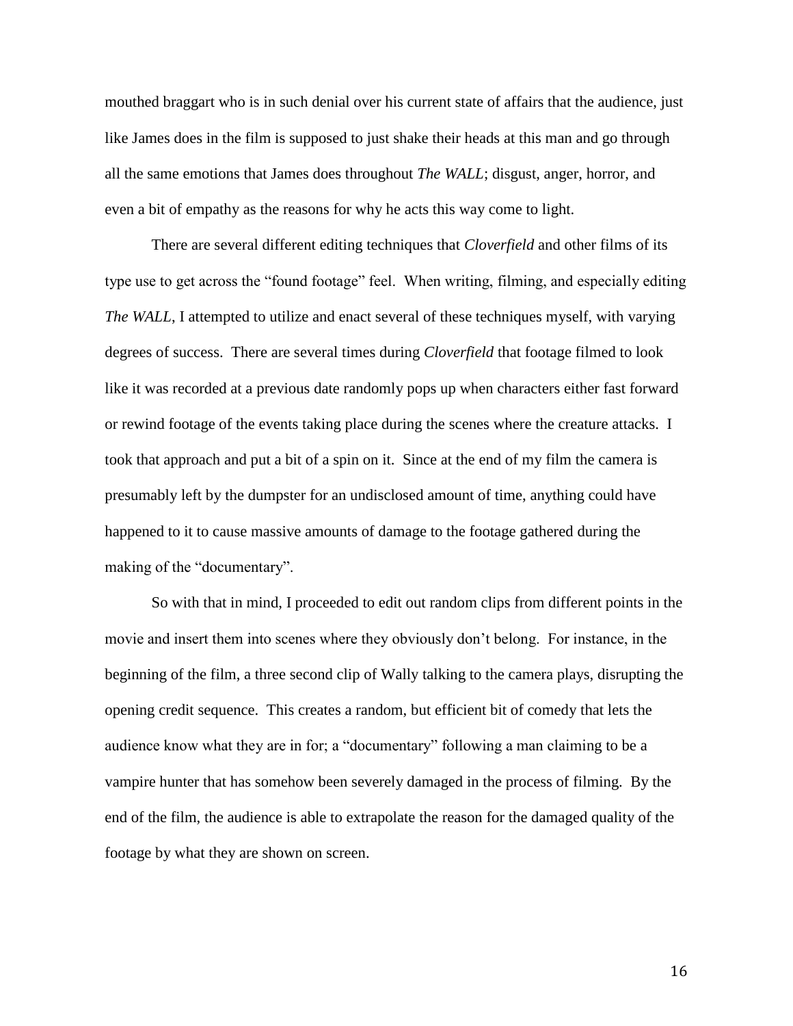mouthed braggart who is in such denial over his current state of affairs that the audience, just like James does in the film is supposed to just shake their heads at this man and go through all the same emotions that James does throughout *The WALL*; disgust, anger, horror, and even a bit of empathy as the reasons for why he acts this way come to light.

There are several different editing techniques that *Cloverfield* and other films of its type use to get across the "found footage" feel. When writing, filming, and especially editing *The WALL*, I attempted to utilize and enact several of these techniques myself, with varying degrees of success. There are several times during *Cloverfield* that footage filmed to look like it was recorded at a previous date randomly pops up when characters either fast forward or rewind footage of the events taking place during the scenes where the creature attacks. I took that approach and put a bit of a spin on it. Since at the end of my film the camera is presumably left by the dumpster for an undisclosed amount of time, anything could have happened to it to cause massive amounts of damage to the footage gathered during the making of the "documentary".

So with that in mind, I proceeded to edit out random clips from different points in the movie and insert them into scenes where they obviously don"t belong. For instance, in the beginning of the film, a three second clip of Wally talking to the camera plays, disrupting the opening credit sequence. This creates a random, but efficient bit of comedy that lets the audience know what they are in for; a "documentary" following a man claiming to be a vampire hunter that has somehow been severely damaged in the process of filming. By the end of the film, the audience is able to extrapolate the reason for the damaged quality of the footage by what they are shown on screen.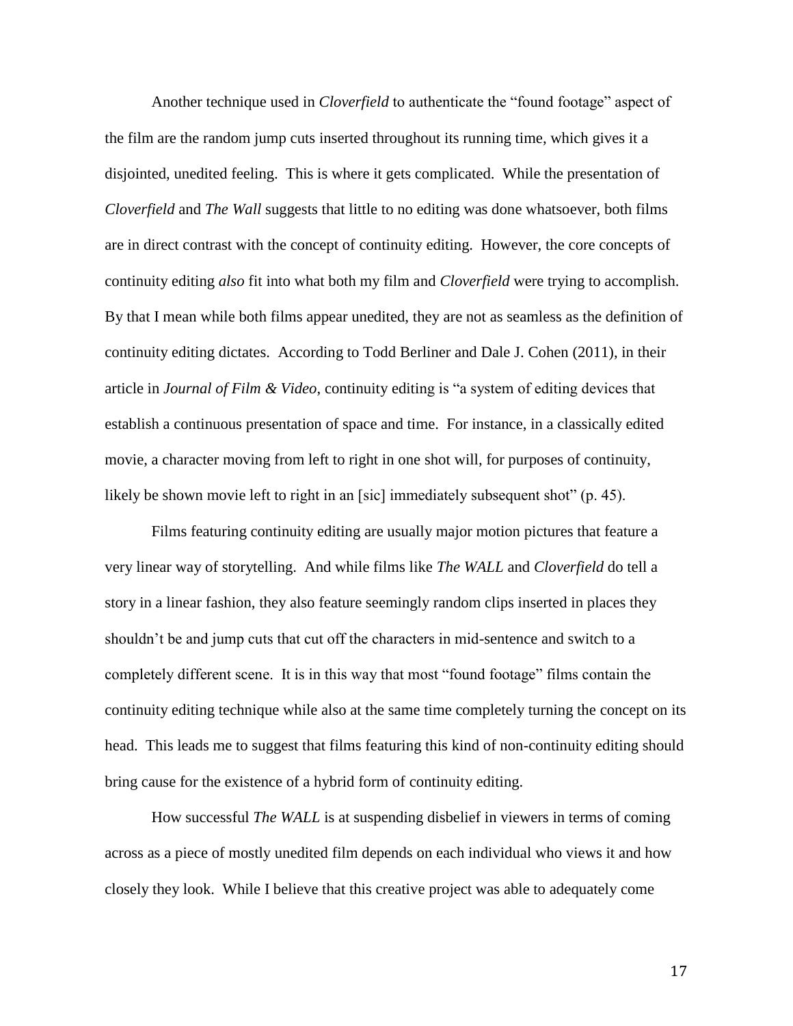Another technique used in *Cloverfield* to authenticate the "found footage" aspect of the film are the random jump cuts inserted throughout its running time, which gives it a disjointed, unedited feeling. This is where it gets complicated. While the presentation of *Cloverfield* and *The Wall* suggests that little to no editing was done whatsoever, both films are in direct contrast with the concept of continuity editing. However, the core concepts of continuity editing *also* fit into what both my film and *Cloverfield* were trying to accomplish. By that I mean while both films appear unedited, they are not as seamless as the definition of continuity editing dictates. According to Todd Berliner and Dale J. Cohen (2011), in their article in *Journal of Film & Video*, continuity editing is "a system of editing devices that establish a continuous presentation of space and time. For instance, in a classically edited movie, a character moving from left to right in one shot will, for purposes of continuity, likely be shown movie left to right in an [sic] immediately subsequent shot" (p. 45).

Films featuring continuity editing are usually major motion pictures that feature a very linear way of storytelling. And while films like *The WALL* and *Cloverfield* do tell a story in a linear fashion, they also feature seemingly random clips inserted in places they shouldn"t be and jump cuts that cut off the characters in mid-sentence and switch to a completely different scene. It is in this way that most "found footage" films contain the continuity editing technique while also at the same time completely turning the concept on its head. This leads me to suggest that films featuring this kind of non-continuity editing should bring cause for the existence of a hybrid form of continuity editing.

How successful *The WALL* is at suspending disbelief in viewers in terms of coming across as a piece of mostly unedited film depends on each individual who views it and how closely they look. While I believe that this creative project was able to adequately come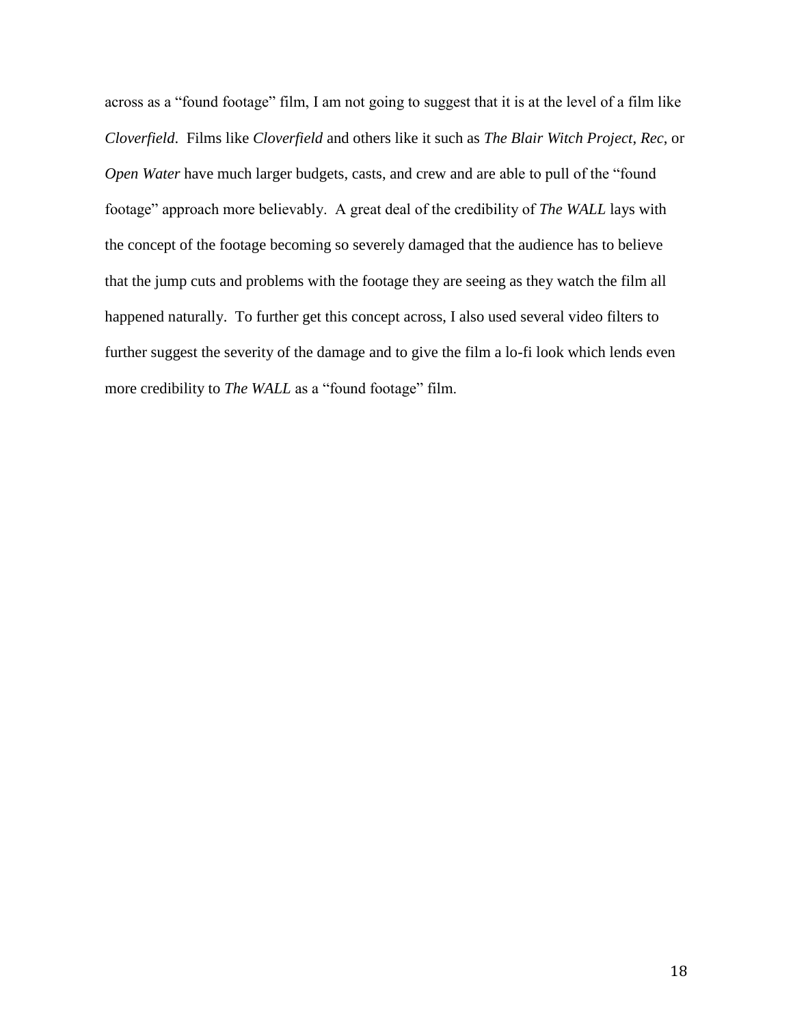across as a "found footage" film, I am not going to suggest that it is at the level of a film like *Cloverfield*. Films like *Cloverfield* and others like it such as *The Blair Witch Project*, *Rec*, or *Open Water* have much larger budgets, casts, and crew and are able to pull of the "found footage" approach more believably. A great deal of the credibility of *The WALL* lays with the concept of the footage becoming so severely damaged that the audience has to believe that the jump cuts and problems with the footage they are seeing as they watch the film all happened naturally. To further get this concept across, I also used several video filters to further suggest the severity of the damage and to give the film a lo-fi look which lends even more credibility to *The WALL* as a "found footage" film.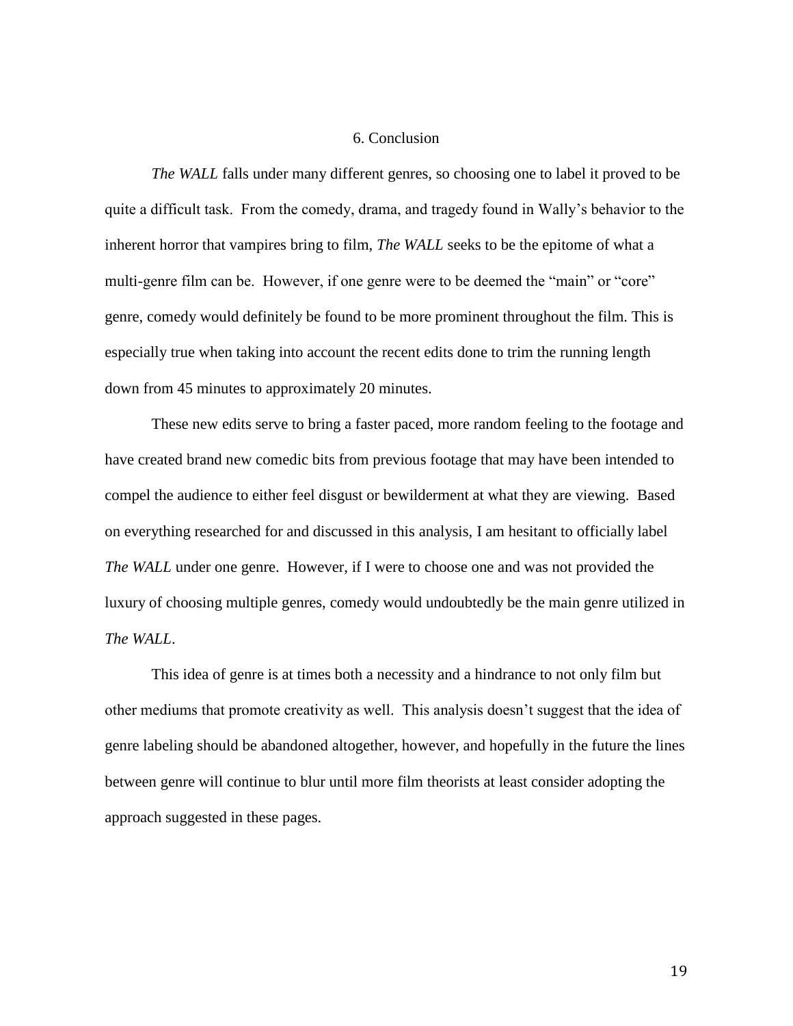#### 6. Conclusion

*The WALL* falls under many different genres, so choosing one to label it proved to be quite a difficult task. From the comedy, drama, and tragedy found in Wally"s behavior to the inherent horror that vampires bring to film, *The WALL* seeks to be the epitome of what a multi-genre film can be. However, if one genre were to be deemed the "main" or "core" genre, comedy would definitely be found to be more prominent throughout the film. This is especially true when taking into account the recent edits done to trim the running length down from 45 minutes to approximately 20 minutes.

These new edits serve to bring a faster paced, more random feeling to the footage and have created brand new comedic bits from previous footage that may have been intended to compel the audience to either feel disgust or bewilderment at what they are viewing. Based on everything researched for and discussed in this analysis, I am hesitant to officially label *The WALL* under one genre. However, if I were to choose one and was not provided the luxury of choosing multiple genres, comedy would undoubtedly be the main genre utilized in *The WALL*.

This idea of genre is at times both a necessity and a hindrance to not only film but other mediums that promote creativity as well. This analysis doesn"t suggest that the idea of genre labeling should be abandoned altogether, however, and hopefully in the future the lines between genre will continue to blur until more film theorists at least consider adopting the approach suggested in these pages.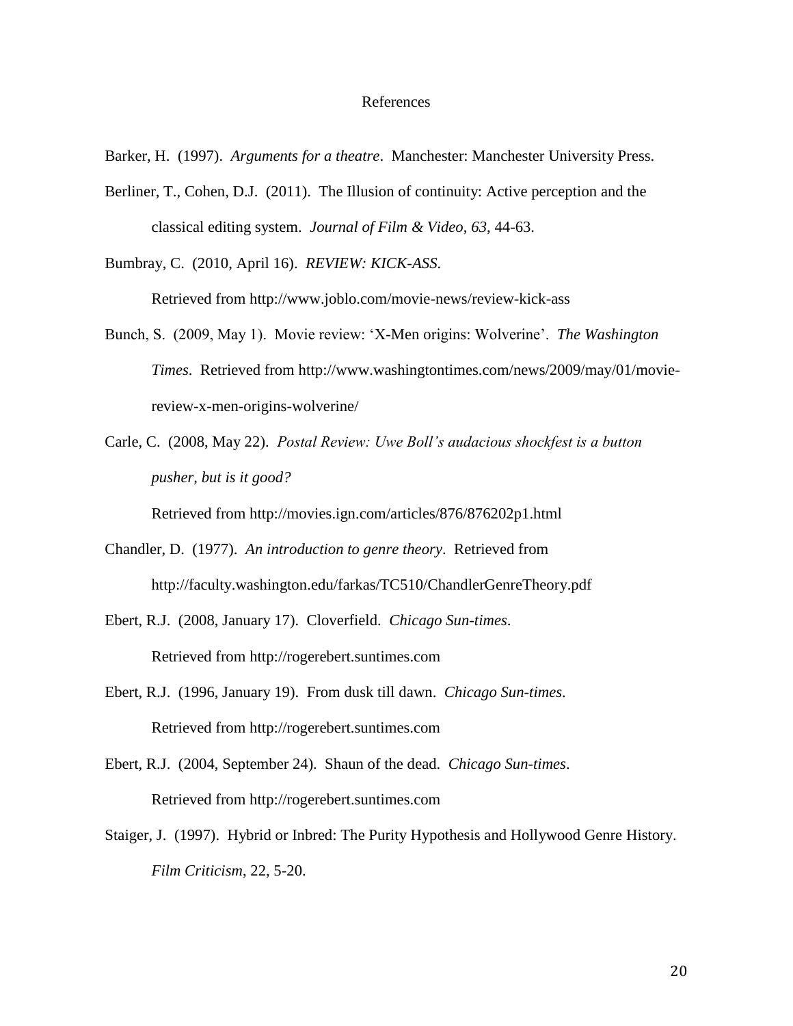#### References

Barker, H. (1997). *Arguments for a theatre*. Manchester: Manchester University Press.

Berliner, T., Cohen, D.J. (2011). The Illusion of continuity: Active perception and the classical editing system. *Journal of Film & Video*, *63*, 44-63.

Bumbray, C. (2010, April 16). *REVIEW: KICK-ASS*.

Retrieved from http://www.joblo.com/movie-news/review-kick-ass

- Bunch, S. (2009, May 1). Movie review: "X-Men origins: Wolverine". *The Washington Times*. Retrieved from http://www.washingtontimes.com/news/2009/may/01/moviereview-x-men-origins-wolverine/
- Carle, C. (2008, May 22). *Postal Review: Uwe Boll's audacious shockfest is a button pusher, but is it good?*

Retrieved from http://movies.ign.com/articles/876/876202p1.html

- Chandler, D. (1977). *An introduction to genre theory*. Retrieved from http://faculty.washington.edu/farkas/TC510/ChandlerGenreTheory.pdf
- Ebert, R.J. (2008, January 17). Cloverfield. *Chicago Sun-times*. Retrieved from http://rogerebert.suntimes.com
- Ebert, R.J. (1996, January 19). From dusk till dawn. *Chicago Sun-times*. Retrieved from http://rogerebert.suntimes.com
- Ebert, R.J. (2004, September 24). Shaun of the dead. *Chicago Sun-times*. Retrieved from http://rogerebert.suntimes.com
- Staiger, J. (1997). Hybrid or Inbred: The Purity Hypothesis and Hollywood Genre History. *Film Criticism*, 22, 5-20.